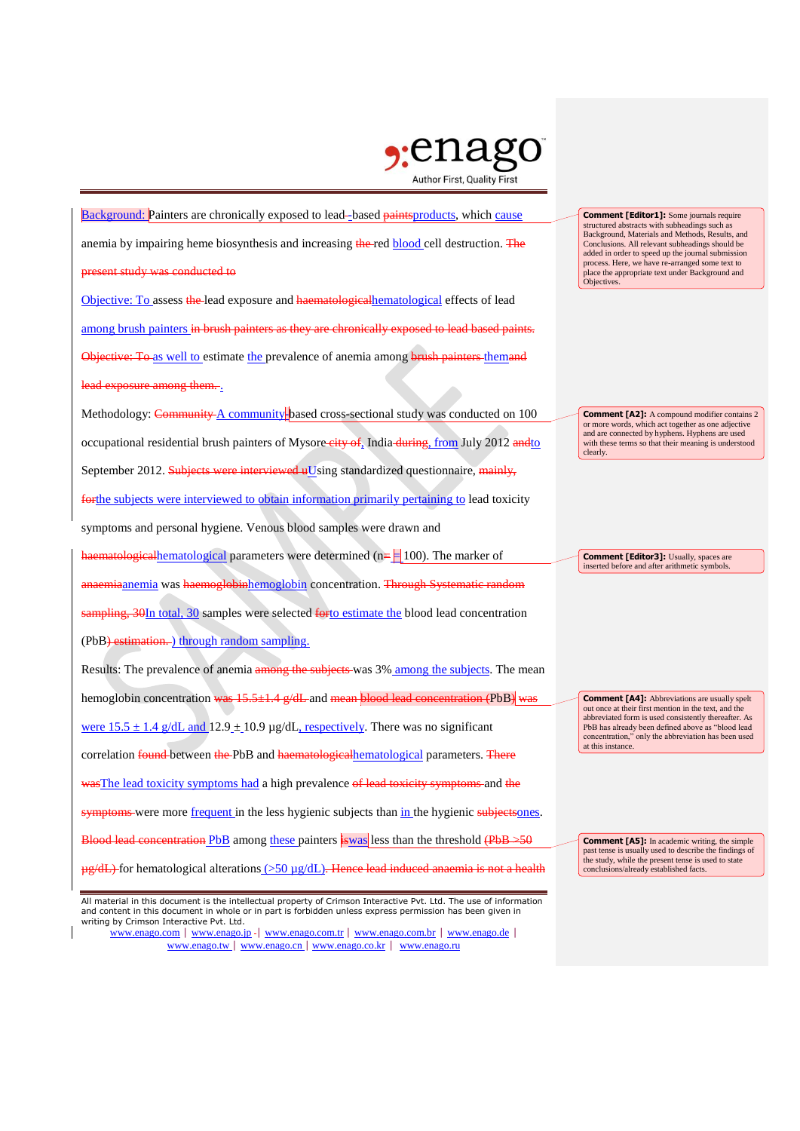

Background: Painters are chronically exposed to lead-based paintsproducts, which cause anemia by impairing heme biosynthesis and increasing the red blood cell destruction. The sent study was conducted to Objective: To assess the lead exposure and haematologicalhematological effects of lead among brush painters in brush painters as they are chronically exposed to lead based paints. Objective: To as well to estimate the prevalence of anemia among brush painters themand lead exposure among them. Methodology: Community A community based cross-sectional study was conducted on 100 occupational residential brush painters of Mysore city of, India during, from July 2012 and to September 2012. Subjects were interviewed uUsing standardized questionnaire, mainly, forthe subjects were interviewed to obtain information primarily pertaining to lead toxicity symptoms and personal hygiene. Venous blood samples were drawn and haematologicalhematological parameters were determined (n= $\frac{1}{2}100$ ). The marker of anaemiaanemia was haemoglobinhemoglobin concentration. <del>Through Systematic random</del> sampling, 30In total, 30 samples were selected forto estimate the blood lead concentration (PbB) estimation. ) through random sampling. Results: The prevalence of anemia among the subjects was 3% among the subjects. The mean hemoglobin concentration was  $15.5\pm1.4$  g/dL and mean blood lead concentration (PbB) was were  $15.5 \pm 1.4$  g/dL and  $12.9 \pm 10.9$  µg/dL, respectively. There was no significant correlation found between the PbB and haematologicalhematological parameters. There wasThe lead toxicity symptoms had a high prevalence of lead toxicity symptoms and the symptoms were more frequent in the less hygienic subjects than in the hygienic subjectsones. Blood lead concentration PbB among these painters is values at the threshold  $(PbB \rightarrow 50$  $\mu$ g/dL) for hematological alterations (>50  $\mu$ g/dL). Hence lead induced anaemia is not a health

**Comment [Editor1]:** Some journals require structured abstracts with subheadings such as Background, Materials and Methods, Results, and Conclusions. All relevant subheadings should be added in order to speed up the journal submission process. Here, we have re-arranged some text to place the appropriate text under Background and Objectives.

**Comment [A2]:** A compound modifier contains 2 or more words, which act together as one adjective and are connected by hyphens. Hyphens are used with these terms so that their meaning is understood clearly.

**Comment [Editor3]: Usually, spaces are** inserted before and after arithmetic symbols.

**Comment [A4]:** Abbreviations are usually spelt out once at their first mention in the text, and the abbreviated form is used consistently thereafter. As PbB has already been defined above as "blood lead concentration," only the abbreviation has been used at this instance.

**Comment [A5]:** In academic writing, the simple past tense is usually used to describe the findings of the study, while the present tense is used to state conclusions/already established facts.

All material in this document is the intellectual property of Crimson Interactive Pvt. Ltd. The use of information and content in this document in whole or in part is forbidden unless express permission has been given in writing by Crimson Interactive Pvt. Ltd.

www.enago.com | www.enago.jp - | www.enago.com.tr | www.enago.com.br | www.enago.de | www.enago.tw | www.enago.cn | www.enago.co.kr | www.enago.ru